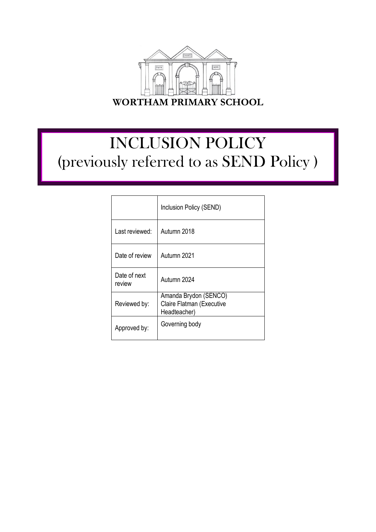

# INCLUSION POLICY (previously referred to as SEND Policy )

|                        | Inclusion Policy (SEND)                                            |
|------------------------|--------------------------------------------------------------------|
| Last reviewed:         | Autumn 2018                                                        |
| Date of review         | Autumn 2021                                                        |
| Date of next<br>review | Autumn 2024                                                        |
| Reviewed by:           | Amanda Brydon (SENCO)<br>Claire Flatman (Executive<br>Headteacher) |
| Approved by:           | Governing body                                                     |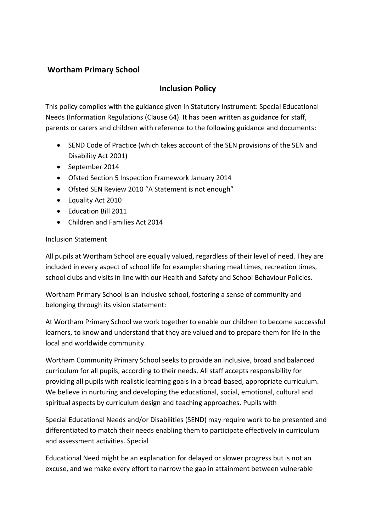# **Wortham Primary School**

# **Inclusion Policy**

This policy complies with the guidance given in Statutory Instrument: Special Educational Needs (Information Regulations (Clause 64). It has been written as guidance for staff, parents or carers and children with reference to the following guidance and documents:

- SEND Code of Practice (which takes account of the SEN provisions of the SEN and Disability Act 2001)
- September 2014
- Ofsted Section 5 Inspection Framework January 2014
- Ofsted SEN Review 2010 "A Statement is not enough"
- Equality Act 2010
- Education Bill 2011
- Children and Families Act 2014

## Inclusion Statement

All pupils at Wortham School are equally valued, regardless of their level of need. They are included in every aspect of school life for example: sharing meal times, recreation times, school clubs and visits in line with our Health and Safety and School Behaviour Policies.

Wortham Primary School is an inclusive school, fostering a sense of community and belonging through its vision statement:

At Wortham Primary School we work together to enable our children to become successful learners, to know and understand that they are valued and to prepare them for life in the local and worldwide community.

Wortham Community Primary School seeks to provide an inclusive, broad and balanced curriculum for all pupils, according to their needs. All staff accepts responsibility for providing all pupils with realistic learning goals in a broad-based, appropriate curriculum. We believe in nurturing and developing the educational, social, emotional, cultural and spiritual aspects by curriculum design and teaching approaches. Pupils with

Special Educational Needs and/or Disabilities (SEND) may require work to be presented and differentiated to match their needs enabling them to participate effectively in curriculum and assessment activities. Special

Educational Need might be an explanation for delayed or slower progress but is not an excuse, and we make every effort to narrow the gap in attainment between vulnerable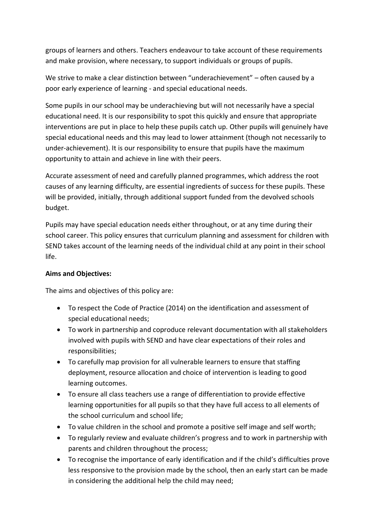groups of learners and others. Teachers endeavour to take account of these requirements and make provision, where necessary, to support individuals or groups of pupils.

We strive to make a clear distinction between "underachievement" – often caused by a poor early experience of learning - and special educational needs.

Some pupils in our school may be underachieving but will not necessarily have a special educational need. It is our responsibility to spot this quickly and ensure that appropriate interventions are put in place to help these pupils catch up. Other pupils will genuinely have special educational needs and this may lead to lower attainment (though not necessarily to under-achievement). It is our responsibility to ensure that pupils have the maximum opportunity to attain and achieve in line with their peers.

Accurate assessment of need and carefully planned programmes, which address the root causes of any learning difficulty, are essential ingredients of success for these pupils. These will be provided, initially, through additional support funded from the devolved schools budget.

Pupils may have special education needs either throughout, or at any time during their school career. This policy ensures that curriculum planning and assessment for children with SEND takes account of the learning needs of the individual child at any point in their school life.

## **Aims and Objectives:**

The aims and objectives of this policy are:

- To respect the Code of Practice (2014) on the identification and assessment of special educational needs;
- To work in partnership and coproduce relevant documentation with all stakeholders involved with pupils with SEND and have clear expectations of their roles and responsibilities;
- To carefully map provision for all vulnerable learners to ensure that staffing deployment, resource allocation and choice of intervention is leading to good learning outcomes.
- To ensure all class teachers use a range of differentiation to provide effective learning opportunities for all pupils so that they have full access to all elements of the school curriculum and school life;
- To value children in the school and promote a positive self image and self worth;
- To regularly review and evaluate children's progress and to work in partnership with parents and children throughout the process;
- To recognise the importance of early identification and if the child's difficulties prove less responsive to the provision made by the school, then an early start can be made in considering the additional help the child may need;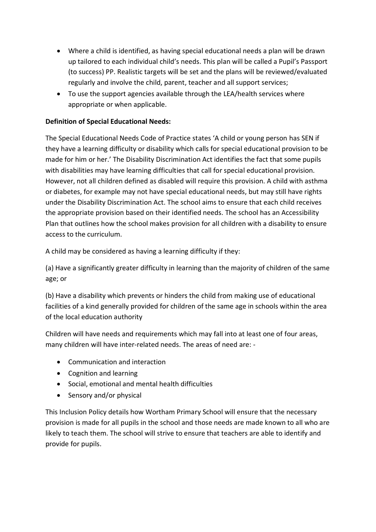- Where a child is identified, as having special educational needs a plan will be drawn up tailored to each individual child's needs. This plan will be called a Pupil's Passport (to success) PP. Realistic targets will be set and the plans will be reviewed/evaluated regularly and involve the child, parent, teacher and all support services;
- To use the support agencies available through the LEA/health services where appropriate or when applicable.

## **Definition of Special Educational Needs:**

The Special Educational Needs Code of Practice states 'A child or young person has SEN if they have a learning difficulty or disability which calls for special educational provision to be made for him or her.' The Disability Discrimination Act identifies the fact that some pupils with disabilities may have learning difficulties that call for special educational provision. However, not all children defined as disabled will require this provision. A child with asthma or diabetes, for example may not have special educational needs, but may still have rights under the Disability Discrimination Act. The school aims to ensure that each child receives the appropriate provision based on their identified needs. The school has an Accessibility Plan that outlines how the school makes provision for all children with a disability to ensure access to the curriculum.

A child may be considered as having a learning difficulty if they:

(a) Have a significantly greater difficulty in learning than the majority of children of the same age; or

(b) Have a disability which prevents or hinders the child from making use of educational facilities of a kind generally provided for children of the same age in schools within the area of the local education authority

Children will have needs and requirements which may fall into at least one of four areas, many children will have inter-related needs. The areas of need are: -

- Communication and interaction
- Cognition and learning
- Social, emotional and mental health difficulties
- Sensory and/or physical

This Inclusion Policy details how Wortham Primary School will ensure that the necessary provision is made for all pupils in the school and those needs are made known to all who are likely to teach them. The school will strive to ensure that teachers are able to identify and provide for pupils.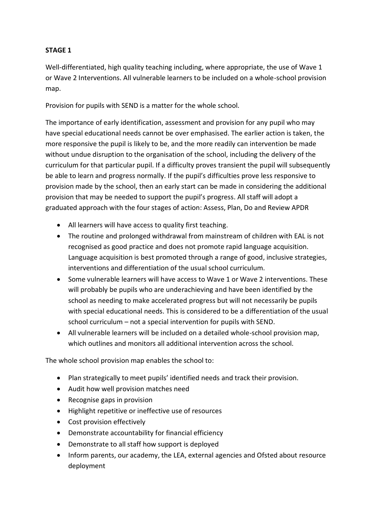## **STAGE 1**

Well-differentiated, high quality teaching including, where appropriate, the use of Wave 1 or Wave 2 Interventions. All vulnerable learners to be included on a whole-school provision map.

Provision for pupils with SEND is a matter for the whole school.

The importance of early identification, assessment and provision for any pupil who may have special educational needs cannot be over emphasised. The earlier action is taken, the more responsive the pupil is likely to be, and the more readily can intervention be made without undue disruption to the organisation of the school, including the delivery of the curriculum for that particular pupil. If a difficulty proves transient the pupil will subsequently be able to learn and progress normally. If the pupil's difficulties prove less responsive to provision made by the school, then an early start can be made in considering the additional provision that may be needed to support the pupil's progress. All staff will adopt a graduated approach with the four stages of action: Assess, Plan, Do and Review APDR

- All learners will have access to quality first teaching.
- The routine and prolonged withdrawal from mainstream of children with EAL is not recognised as good practice and does not promote rapid language acquisition. Language acquisition is best promoted through a range of good, inclusive strategies, interventions and differentiation of the usual school curriculum.
- Some vulnerable learners will have access to Wave 1 or Wave 2 interventions. These will probably be pupils who are underachieving and have been identified by the school as needing to make accelerated progress but will not necessarily be pupils with special educational needs. This is considered to be a differentiation of the usual school curriculum – not a special intervention for pupils with SEND.
- All vulnerable learners will be included on a detailed whole-school provision map, which outlines and monitors all additional intervention across the school.

The whole school provision map enables the school to:

- Plan strategically to meet pupils' identified needs and track their provision.
- Audit how well provision matches need
- Recognise gaps in provision
- Highlight repetitive or ineffective use of resources
- Cost provision effectively
- Demonstrate accountability for financial efficiency
- Demonstrate to all staff how support is deployed
- Inform parents, our academy, the LEA, external agencies and Ofsted about resource deployment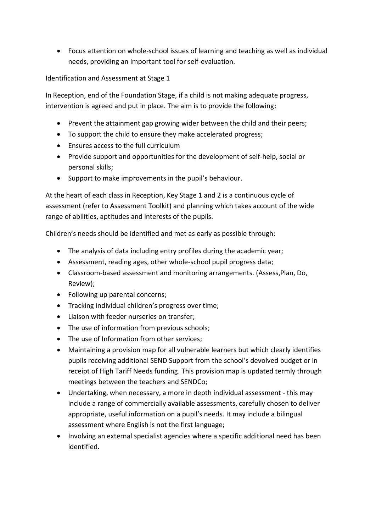Focus attention on whole-school issues of learning and teaching as well as individual needs, providing an important tool for self-evaluation.

Identification and Assessment at Stage 1

In Reception, end of the Foundation Stage, if a child is not making adequate progress, intervention is agreed and put in place. The aim is to provide the following:

- Prevent the attainment gap growing wider between the child and their peers;
- To support the child to ensure they make accelerated progress;
- Ensures access to the full curriculum
- Provide support and opportunities for the development of self-help, social or personal skills;
- Support to make improvements in the pupil's behaviour.

At the heart of each class in Reception, Key Stage 1 and 2 is a continuous cycle of assessment (refer to Assessment Toolkit) and planning which takes account of the wide range of abilities, aptitudes and interests of the pupils.

Children's needs should be identified and met as early as possible through:

- The analysis of data including entry profiles during the academic year;
- Assessment, reading ages, other whole-school pupil progress data;
- Classroom-based assessment and monitoring arrangements. (Assess,Plan, Do, Review);
- Following up parental concerns;
- **•** Tracking individual children's progress over time;
- Liaison with feeder nurseries on transfer;
- The use of information from previous schools;
- The use of Information from other services:
- Maintaining a provision map for all vulnerable learners but which clearly identifies pupils receiving additional SEND Support from the school's devolved budget or in receipt of High Tariff Needs funding. This provision map is updated termly through meetings between the teachers and SENDCo;
- Undertaking, when necessary, a more in depth individual assessment this may include a range of commercially available assessments, carefully chosen to deliver appropriate, useful information on a pupil's needs. It may include a bilingual assessment where English is not the first language;
- Involving an external specialist agencies where a specific additional need has been identified.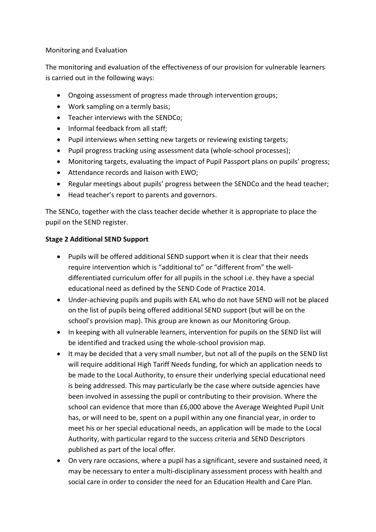## Monitoring and Evaluation

The monitoring and evaluation of the effectiveness of our provision for vulnerable learners is carried out in the following ways:

- Ongoing assessment of progress made through intervention groups;
- Work sampling on a termly basis;
- Teacher interviews with the SENDCo;
- Informal feedback from all staff:
- Pupil interviews when setting new targets or reviewing existing targets;
- Pupil progress tracking using assessment data (whole-school processes);
- Monitoring targets, evaluating the impact of Pupil Passport plans on pupils' progress;
- Attendance records and liaison with EWO;
- Regular meetings about pupils' progress between the SENDCo and the head teacher;
- Head teacher's report to parents and governors.

The SENCo, together with the class teacher decide whether it is appropriate to place the pupil on the SEND register.

## **Stage 2 Additional SEND Support**

- Pupils will be offered additional SEND support when it is clear that their needs require intervention which is "additional to" or "different from" the welldifferentiated curriculum offer for all pupils in the school i.e. they have a special educational need as defined by the SEND Code of Practice 2014.
- Under-achieving pupils and pupils with EAL who do not have SEND will not be placed on the list of pupils being offered additional SEND support (but will be on the school's provision map). This group are known as our Monitoring Group.
- In keeping with all vulnerable learners, intervention for pupils on the SEND list will be identified and tracked using the whole-school provision map.
- It may be decided that a very small number, but not all of the pupils on the SEND list will require additional High Tariff Needs funding, for which an application needs to be made to the Local Authority, to ensure their underlying special educational need is being addressed. This may particularly be the case where outside agencies have been involved in assessing the pupil or contributing to their provision. Where the school can evidence that more than £6,000 above the Average Weighted Pupil Unit has, or will need to be, spent on a pupil within any one financial year, in order to meet his or her special educational needs, an application will be made to the Local Authority, with particular regard to the success criteria and SEND Descriptors published as part of the local offer.
- On very rare occasions, where a pupil has a significant, severe and sustained need, it may be necessary to enter a multi-disciplinary assessment process with health and social care in order to consider the need for an Education Health and Care Plan.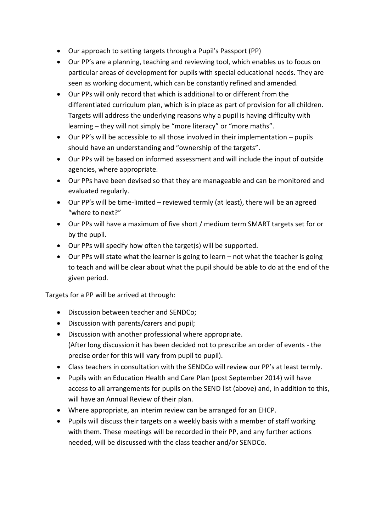- Our approach to setting targets through a Pupil's Passport (PP)
- Our PP's are a planning, teaching and reviewing tool, which enables us to focus on particular areas of development for pupils with special educational needs. They are seen as working document, which can be constantly refined and amended.
- Our PPs will only record that which is additional to or different from the differentiated curriculum plan, which is in place as part of provision for all children. Targets will address the underlying reasons why a pupil is having difficulty with learning – they will not simply be "more literacy" or "more maths".
- Our PP's will be accessible to all those involved in their implementation pupils should have an understanding and "ownership of the targets".
- Our PPs will be based on informed assessment and will include the input of outside agencies, where appropriate.
- Our PPs have been devised so that they are manageable and can be monitored and evaluated regularly.
- Our PP's will be time-limited reviewed termly (at least), there will be an agreed "where to next?"
- Our PPs will have a maximum of five short / medium term SMART targets set for or by the pupil.
- Our PPs will specify how often the target(s) will be supported.
- Our PPs will state what the learner is going to learn not what the teacher is going to teach and will be clear about what the pupil should be able to do at the end of the given period.

Targets for a PP will be arrived at through:

- Discussion between teacher and SENDCo;
- Discussion with parents/carers and pupil;
- Discussion with another professional where appropriate. (After long discussion it has been decided not to prescribe an order of events - the precise order for this will vary from pupil to pupil).
- Class teachers in consultation with the SENDCo will review our PP's at least termly.
- Pupils with an Education Health and Care Plan (post September 2014) will have access to all arrangements for pupils on the SEND list (above) and, in addition to this, will have an Annual Review of their plan.
- Where appropriate, an interim review can be arranged for an EHCP.
- Pupils will discuss their targets on a weekly basis with a member of staff working with them. These meetings will be recorded in their PP, and any further actions needed, will be discussed with the class teacher and/or SENDCo.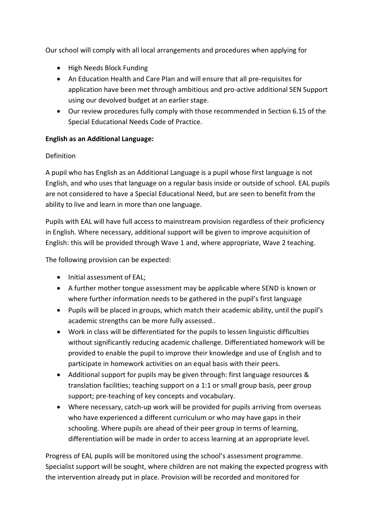Our school will comply with all local arrangements and procedures when applying for

- High Needs Block Funding
- An Education Health and Care Plan and will ensure that all pre-requisites for application have been met through ambitious and pro-active additional SEN Support using our devolved budget at an earlier stage.
- Our review procedures fully comply with those recommended in Section 6.15 of the Special Educational Needs Code of Practice.

## **English as an Additional Language:**

## **Definition**

A pupil who has English as an Additional Language is a pupil whose first language is not English, and who uses that language on a regular basis inside or outside of school. EAL pupils are not considered to have a Special Educational Need, but are seen to benefit from the ability to live and learn in more than one language.

Pupils with EAL will have full access to mainstream provision regardless of their proficiency in English. Where necessary, additional support will be given to improve acquisition of English: this will be provided through Wave 1 and, where appropriate, Wave 2 teaching.

The following provision can be expected:

- Initial assessment of EAL:
- A further mother tongue assessment may be applicable where SEND is known or where further information needs to be gathered in the pupil's first language
- Pupils will be placed in groups, which match their academic ability, until the pupil's academic strengths can be more fully assessed..
- Work in class will be differentiated for the pupils to lessen linguistic difficulties without significantly reducing academic challenge. Differentiated homework will be provided to enable the pupil to improve their knowledge and use of English and to participate in homework activities on an equal basis with their peers.
- Additional support for pupils may be given through: first language resources & translation facilities; teaching support on a 1:1 or small group basis, peer group support; pre-teaching of key concepts and vocabulary.
- Where necessary, catch-up work will be provided for pupils arriving from overseas who have experienced a different curriculum or who may have gaps in their schooling. Where pupils are ahead of their peer group in terms of learning, differentiation will be made in order to access learning at an appropriate level.

Progress of EAL pupils will be monitored using the school's assessment programme. Specialist support will be sought, where children are not making the expected progress with the intervention already put in place. Provision will be recorded and monitored for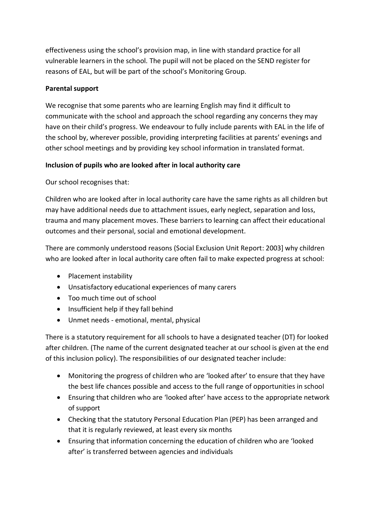effectiveness using the school's provision map, in line with standard practice for all vulnerable learners in the school. The pupil will not be placed on the SEND register for reasons of EAL, but will be part of the school's Monitoring Group.

## **Parental support**

We recognise that some parents who are learning English may find it difficult to communicate with the school and approach the school regarding any concerns they may have on their child's progress. We endeavour to fully include parents with EAL in the life of the school by, wherever possible, providing interpreting facilities at parents' evenings and other school meetings and by providing key school information in translated format.

## **Inclusion of pupils who are looked after in local authority care**

Our school recognises that:

Children who are looked after in local authority care have the same rights as all children but may have additional needs due to attachment issues, early neglect, separation and loss, trauma and many placement moves. These barriers to learning can affect their educational outcomes and their personal, social and emotional development.

There are commonly understood reasons (Social Exclusion Unit Report: 2003] why children who are looked after in local authority care often fail to make expected progress at school:

- Placement instability
- Unsatisfactory educational experiences of many carers
- Too much time out of school
- Insufficient help if they fall behind
- Unmet needs emotional, mental, physical

There is a statutory requirement for all schools to have a designated teacher (DT) for looked after children. (The name of the current designated teacher at our school is given at the end of this inclusion policy). The responsibilities of our designated teacher include:

- Monitoring the progress of children who are 'looked after' to ensure that they have the best life chances possible and access to the full range of opportunities in school
- Ensuring that children who are 'looked after' have access to the appropriate network of support
- Checking that the statutory Personal Education Plan (PEP) has been arranged and that it is regularly reviewed, at least every six months
- Ensuring that information concerning the education of children who are 'looked after' is transferred between agencies and individuals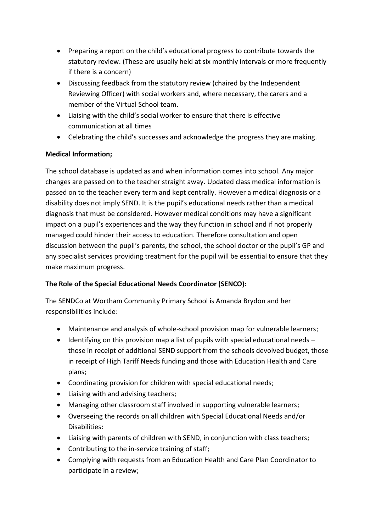- Preparing a report on the child's educational progress to contribute towards the statutory review. (These are usually held at six monthly intervals or more frequently if there is a concern)
- Discussing feedback from the statutory review (chaired by the Independent Reviewing Officer) with social workers and, where necessary, the carers and a member of the Virtual School team.
- Liaising with the child's social worker to ensure that there is effective communication at all times
- Celebrating the child's successes and acknowledge the progress they are making.

# **Medical Information;**

The school database is updated as and when information comes into school. Any major changes are passed on to the teacher straight away. Updated class medical information is passed on to the teacher every term and kept centrally. However a medical diagnosis or a disability does not imply SEND. It is the pupil's educational needs rather than a medical diagnosis that must be considered. However medical conditions may have a significant impact on a pupil's experiences and the way they function in school and if not properly managed could hinder their access to education. Therefore consultation and open discussion between the pupil's parents, the school, the school doctor or the pupil's GP and any specialist services providing treatment for the pupil will be essential to ensure that they make maximum progress.

## **The Role of the Special Educational Needs Coordinator (SENCO):**

The SENDCo at Wortham Community Primary School is Amanda Brydon and her responsibilities include:

- Maintenance and analysis of whole-school provision map for vulnerable learners;
- $\bullet$  Identifying on this provision map a list of pupils with special educational needs those in receipt of additional SEND support from the schools devolved budget, those in receipt of High Tariff Needs funding and those with Education Health and Care plans;
- Coordinating provision for children with special educational needs;
- Liaising with and advising teachers;
- Managing other classroom staff involved in supporting vulnerable learners;
- Overseeing the records on all children with Special Educational Needs and/or Disabilities:
- Liaising with parents of children with SEND, in conjunction with class teachers;
- Contributing to the in-service training of staff;
- Complying with requests from an Education Health and Care Plan Coordinator to participate in a review;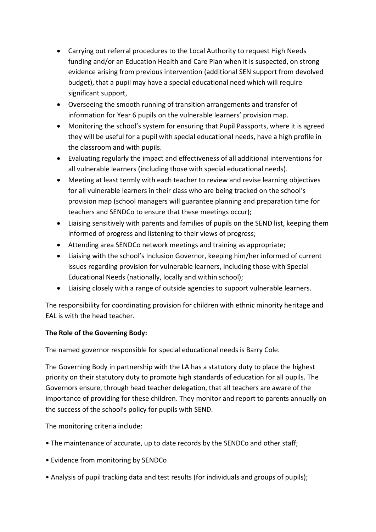- Carrying out referral procedures to the Local Authority to request High Needs funding and/or an Education Health and Care Plan when it is suspected, on strong evidence arising from previous intervention (additional SEN support from devolved budget), that a pupil may have a special educational need which will require significant support,
- Overseeing the smooth running of transition arrangements and transfer of information for Year 6 pupils on the vulnerable learners' provision map.
- Monitoring the school's system for ensuring that Pupil Passports, where it is agreed they will be useful for a pupil with special educational needs, have a high profile in the classroom and with pupils.
- Evaluating regularly the impact and effectiveness of all additional interventions for all vulnerable learners (including those with special educational needs).
- Meeting at least termly with each teacher to review and revise learning objectives for all vulnerable learners in their class who are being tracked on the school's provision map (school managers will guarantee planning and preparation time for teachers and SENDCo to ensure that these meetings occur);
- Liaising sensitively with parents and families of pupils on the SEND list, keeping them informed of progress and listening to their views of progress;
- Attending area SENDCo network meetings and training as appropriate;
- Liaising with the school's Inclusion Governor, keeping him/her informed of current issues regarding provision for vulnerable learners, including those with Special Educational Needs (nationally, locally and within school);
- Liaising closely with a range of outside agencies to support vulnerable learners.

The responsibility for coordinating provision for children with ethnic minority heritage and EAL is with the head teacher.

## **The Role of the Governing Body:**

The named governor responsible for special educational needs is Barry Cole.

The Governing Body in partnership with the LA has a statutory duty to place the highest priority on their statutory duty to promote high standards of education for all pupils. The Governors ensure, through head teacher delegation, that all teachers are aware of the importance of providing for these children. They monitor and report to parents annually on the success of the school's policy for pupils with SEND.

The monitoring criteria include:

- The maintenance of accurate, up to date records by the SENDCo and other staff;
- Evidence from monitoring by SENDCo
- Analysis of pupil tracking data and test results (for individuals and groups of pupils);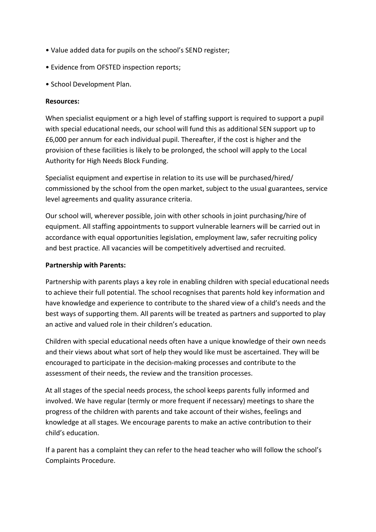- Value added data for pupils on the school's SEND register;
- Evidence from OFSTED inspection reports;
- School Development Plan.

#### **Resources:**

When specialist equipment or a high level of staffing support is required to support a pupil with special educational needs, our school will fund this as additional SEN support up to £6,000 per annum for each individual pupil. Thereafter, if the cost is higher and the provision of these facilities is likely to be prolonged, the school will apply to the Local Authority for High Needs Block Funding.

Specialist equipment and expertise in relation to its use will be purchased/hired/ commissioned by the school from the open market, subject to the usual guarantees, service level agreements and quality assurance criteria.

Our school will, wherever possible, join with other schools in joint purchasing/hire of equipment. All staffing appointments to support vulnerable learners will be carried out in accordance with equal opportunities legislation, employment law, safer recruiting policy and best practice. All vacancies will be competitively advertised and recruited.

#### **Partnership with Parents:**

Partnership with parents plays a key role in enabling children with special educational needs to achieve their full potential. The school recognises that parents hold key information and have knowledge and experience to contribute to the shared view of a child's needs and the best ways of supporting them. All parents will be treated as partners and supported to play an active and valued role in their children's education.

Children with special educational needs often have a unique knowledge of their own needs and their views about what sort of help they would like must be ascertained. They will be encouraged to participate in the decision-making processes and contribute to the assessment of their needs, the review and the transition processes.

At all stages of the special needs process, the school keeps parents fully informed and involved. We have regular (termly or more frequent if necessary) meetings to share the progress of the children with parents and take account of their wishes, feelings and knowledge at all stages. We encourage parents to make an active contribution to their child's education.

If a parent has a complaint they can refer to the head teacher who will follow the school's Complaints Procedure.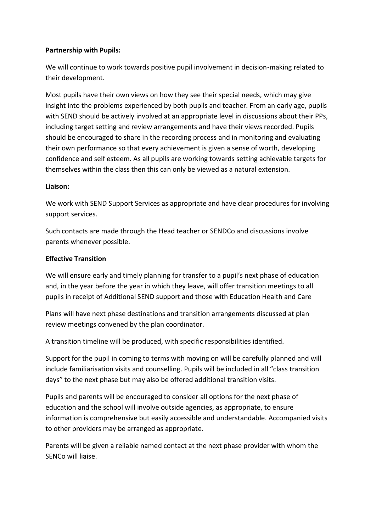## **Partnership with Pupils:**

We will continue to work towards positive pupil involvement in decision-making related to their development.

Most pupils have their own views on how they see their special needs, which may give insight into the problems experienced by both pupils and teacher. From an early age, pupils with SEND should be actively involved at an appropriate level in discussions about their PPs, including target setting and review arrangements and have their views recorded. Pupils should be encouraged to share in the recording process and in monitoring and evaluating their own performance so that every achievement is given a sense of worth, developing confidence and self esteem. As all pupils are working towards setting achievable targets for themselves within the class then this can only be viewed as a natural extension.

## **Liaison:**

We work with SEND Support Services as appropriate and have clear procedures for involving support services.

Such contacts are made through the Head teacher or SENDCo and discussions involve parents whenever possible.

## **Effective Transition**

We will ensure early and timely planning for transfer to a pupil's next phase of education and, in the year before the year in which they leave, will offer transition meetings to all pupils in receipt of Additional SEND support and those with Education Health and Care

Plans will have next phase destinations and transition arrangements discussed at plan review meetings convened by the plan coordinator.

A transition timeline will be produced, with specific responsibilities identified.

Support for the pupil in coming to terms with moving on will be carefully planned and will include familiarisation visits and counselling. Pupils will be included in all "class transition days" to the next phase but may also be offered additional transition visits.

Pupils and parents will be encouraged to consider all options for the next phase of education and the school will involve outside agencies, as appropriate, to ensure information is comprehensive but easily accessible and understandable. Accompanied visits to other providers may be arranged as appropriate.

Parents will be given a reliable named contact at the next phase provider with whom the SENCo will liaise.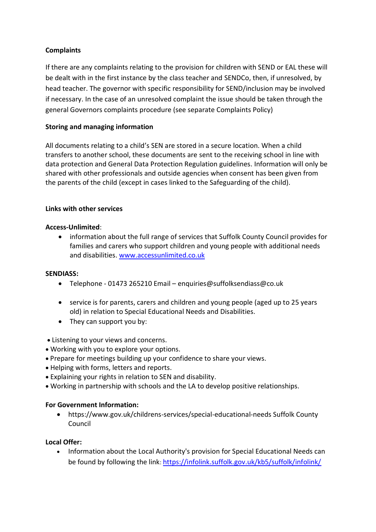## **Complaints**

If there are any complaints relating to the provision for children with SEND or EAL these will be dealt with in the first instance by the class teacher and SENDCo, then, if unresolved, by head teacher. The governor with specific responsibility for SEND/inclusion may be involved if necessary. In the case of an unresolved complaint the issue should be taken through the general Governors complaints procedure (see separate Complaints Policy)

## **Storing and managing information**

All documents relating to a child's SEN are stored in a secure location. When a child transfers to another school, these documents are sent to the receiving school in line with data protection and General Data Protection Regulation guidelines. Information will only be shared with other professionals and outside agencies when consent has been given from the parents of the child (except in cases linked to the Safeguarding of the child).

## **Links with other services**

#### **Access-Unlimited**:

 information about the full range of services that Suffolk County Council provides for families and carers who support children and young people with additional needs and disabilities. [www.accessunlimited.co.uk](http://www.accessunlimited.co.uk/)

## **SENDIASS:**

- Telephone 01473 265210 Email enquiries@suffolksendiass@co.uk
- service is for parents, carers and children and young people (aged up to 25 years old) in relation to Special Educational Needs and Disabilities.
- They can support you by:
- Listening to your views and concerns.
- Working with you to explore your options.
- Prepare for meetings building up your confidence to share your views.
- Helping with forms, letters and reports.
- Explaining your rights in relation to SEN and disability.
- Working in partnership with schools and the LA to develop positive relationships.

#### **For Government Information:**

 https://www.gov.uk/childrens-services/special-educational-needs Suffolk County Council

## **Local Offer:**

• Information about the Local Authority's provision for Special Educational Needs can be found by following the link: https://infolink.suffolk.gov.uk/kb5/suffolk/infolink/